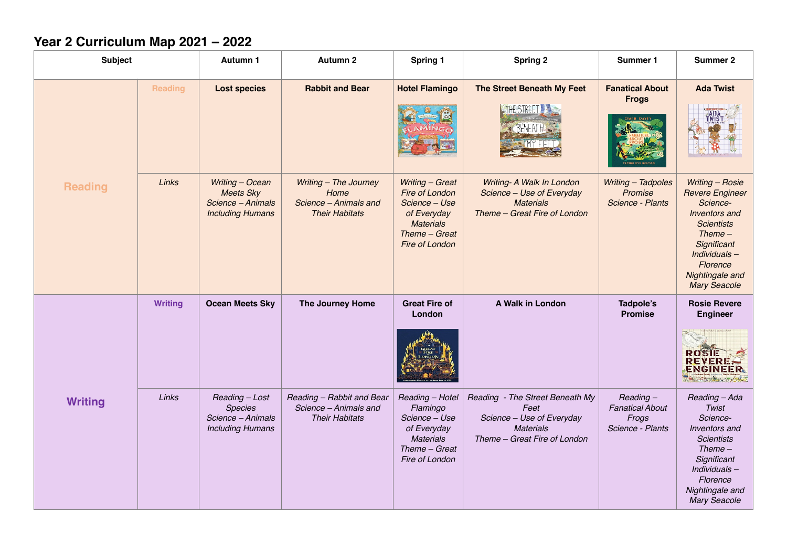## **Year 2 Curriculum Map 2021 – 2022**

| <b>Subject</b> |                | Autumn 1                                                                            | <b>Autumn 2</b>                                                                 | Spring 1<br><b>Spring 2</b>                                                                                              |                                                                                                                          | Summer 1                                                           | <b>Summer 2</b>                                                                                                                                                                                     |
|----------------|----------------|-------------------------------------------------------------------------------------|---------------------------------------------------------------------------------|--------------------------------------------------------------------------------------------------------------------------|--------------------------------------------------------------------------------------------------------------------------|--------------------------------------------------------------------|-----------------------------------------------------------------------------------------------------------------------------------------------------------------------------------------------------|
| <b>Reading</b> | <b>Reading</b> | <b>Lost species</b>                                                                 | <b>Rabbit and Bear</b>                                                          | <b>Hotel Flamingo</b>                                                                                                    | The Street Beneath My Feet<br><b>THE STREET</b><br><b>RENEATH</b>                                                        | <b>Fanatical About</b><br><b>Frogs</b>                             | <b>Ada Twist</b>                                                                                                                                                                                    |
|                | Links          | Writing - Ocean<br><b>Meets Sky</b><br>Science - Animals<br><b>Including Humans</b> | Writing - The Journey<br>Home<br>Science - Animals and<br><b>Their Habitats</b> | Writing - Great<br>Fire of London<br>Science - Use<br>of Everyday<br><b>Materials</b><br>Theme - Great<br>Fire of London | Writing- A Walk In London<br>Science - Use of Everyday<br><b>Materials</b><br>Theme - Great Fire of London               | Writing - Tadpoles<br>Promise<br>Science - Plants                  | <b>Writing - Rosie</b><br><b>Revere Engineer</b><br>Science-<br>Inventors and<br><b>Scientists</b><br>$Thene-$<br>Significant<br>Individuals-<br>Florence<br>Nightingale and<br><b>Mary Seacole</b> |
| <b>Writing</b> | <b>Writing</b> | <b>Ocean Meets Sky</b>                                                              | The Journey Home                                                                | <b>Great Fire of</b><br>London                                                                                           | A Walk in London                                                                                                         | Tadpole's<br><b>Promise</b>                                        | <b>Rosie Revere</b><br><b>Engineer</b><br><b>ROSIE</b><br>REVERE<br>ENGINEER.<br>$\sim -1.85$                                                                                                       |
|                | Links          | Reading - Lost<br><b>Species</b><br>Science - Animals<br><b>Including Humans</b>    | Reading - Rabbit and Bear<br>Science - Animals and<br><b>Their Habitats</b>     | Reading - Hotel<br>Flamingo<br>Science - Use<br>of Everyday<br><b>Materials</b><br>Theme - Great<br>Fire of London       | Reading - The Street Beneath My<br>Feet<br>Science - Use of Everyday<br><b>Materials</b><br>Theme - Great Fire of London | $Reading -$<br><b>Fanatical About</b><br>Frogs<br>Science - Plants | Reading - Ada<br>Twist<br>Science-<br>Inventors and<br><b>Scientists</b><br>$Thene-$<br>Significant<br>Individuals-<br>Florence<br>Nightingale and<br><b>Mary Seacole</b>                           |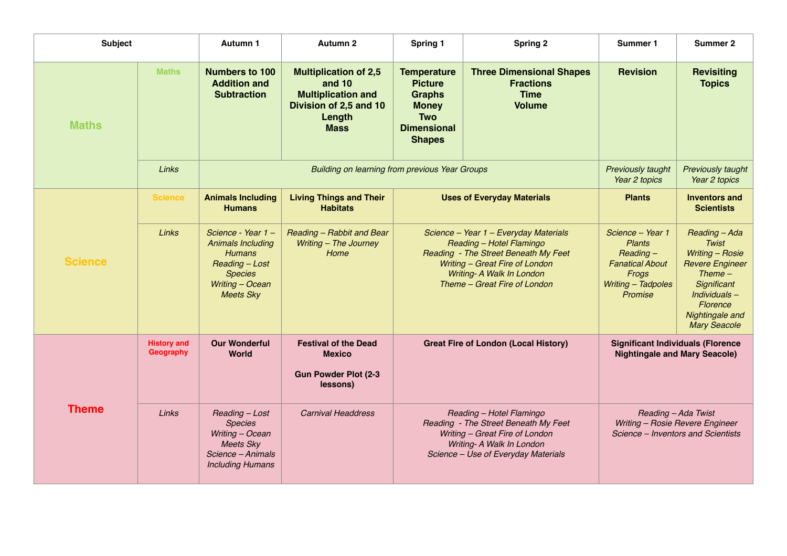| <b>Subject</b> |                                 | Autumn 1                                                                                                                                   | <b>Autumn 2</b>                                                                                                        | Spring 1                                                                                                                                                                                                          | <b>Spring 2</b>                                                                                                                                                                                          |                                                                                                                      | Summer 2                                                                                                                                                                    |
|----------------|---------------------------------|--------------------------------------------------------------------------------------------------------------------------------------------|------------------------------------------------------------------------------------------------------------------------|-------------------------------------------------------------------------------------------------------------------------------------------------------------------------------------------------------------------|----------------------------------------------------------------------------------------------------------------------------------------------------------------------------------------------------------|----------------------------------------------------------------------------------------------------------------------|-----------------------------------------------------------------------------------------------------------------------------------------------------------------------------|
| <b>Maths</b>   | <b>Maths</b>                    | <b>Numbers to 100</b><br><b>Addition and</b><br><b>Subtraction</b>                                                                         | <b>Multiplication of 2,5</b><br>and 10<br><b>Multiplication and</b><br>Division of 2,5 and 10<br>Length<br><b>Mass</b> | <b>Temperature</b><br><b>Three Dimensional Shapes</b><br><b>Picture</b><br><b>Fractions</b><br><b>Graphs</b><br><b>Time</b><br><b>Volume</b><br><b>Money</b><br><b>Two</b><br><b>Dimensional</b><br><b>Shapes</b> |                                                                                                                                                                                                          | <b>Revision</b>                                                                                                      | <b>Revisiting</b><br><b>Topics</b>                                                                                                                                          |
|                | Links                           |                                                                                                                                            | Previously taught<br>Year 2 topics                                                                                     | Previously taught<br>Year 2 topics                                                                                                                                                                                |                                                                                                                                                                                                          |                                                                                                                      |                                                                                                                                                                             |
| <b>Science</b> | <b>Science</b>                  | <b>Animals Including</b><br><b>Humans</b>                                                                                                  | <b>Living Things and Their</b><br><b>Habitats</b>                                                                      |                                                                                                                                                                                                                   | <b>Uses of Everyday Materials</b>                                                                                                                                                                        | <b>Plants</b>                                                                                                        | <b>Inventors and</b><br><b>Scientists</b>                                                                                                                                   |
|                | Links                           | Science - Year 1 -<br><b>Animals Including</b><br><b>Humans</b><br>Reading - Lost<br><b>Species</b><br>Writing - Ocean<br><b>Meets Sky</b> | Reading - Rabbit and Bear<br>Writing - The Journey<br>Home                                                             |                                                                                                                                                                                                                   | Science - Year 1 - Everyday Materials<br>Reading - Hotel Flamingo<br>Reading - The Street Beneath My Feet<br>Writing - Great Fire of London<br>Writing- A Walk In London<br>Theme - Great Fire of London | Science - Year 1<br><b>Plants</b><br>$Reading -$<br><b>Fanatical About</b><br>Frogs<br>Writing - Tadpoles<br>Promise | Reading - Ada<br>Twist<br><b>Writing - Rosie</b><br><b>Revere Engineer</b><br>$Thene-$<br>Significant<br>Individuals-<br>Florence<br>Nightingale and<br><b>Mary Seacole</b> |
|                | <b>History and</b><br>Geography | <b>Our Wonderful</b><br><b>World</b>                                                                                                       | <b>Festival of the Dead</b><br><b>Mexico</b><br><b>Gun Powder Plot (2-3</b><br>lessons)                                | <b>Great Fire of London (Local History)</b>                                                                                                                                                                       |                                                                                                                                                                                                          |                                                                                                                      | <b>Significant Individuals (Florence</b><br><b>Nightingale and Mary Seacole)</b>                                                                                            |
| <b>Theme</b>   | <b>Links</b>                    | Reading - Lost<br><b>Species</b><br>Writing - Ocean<br><b>Meets Sky</b><br>Science - Animals<br><b>Including Humans</b>                    | <b>Carnival Headdress</b>                                                                                              | Reading - Hotel Flamingo<br>Reading - The Street Beneath My Feet<br>Writing - Great Fire of London<br>Writing- A Walk In London<br>Science - Use of Everyday Materials                                            |                                                                                                                                                                                                          |                                                                                                                      | Reading - Ada Twist<br>Writing - Rosie Revere Engineer<br>Science - Inventors and Scientists                                                                                |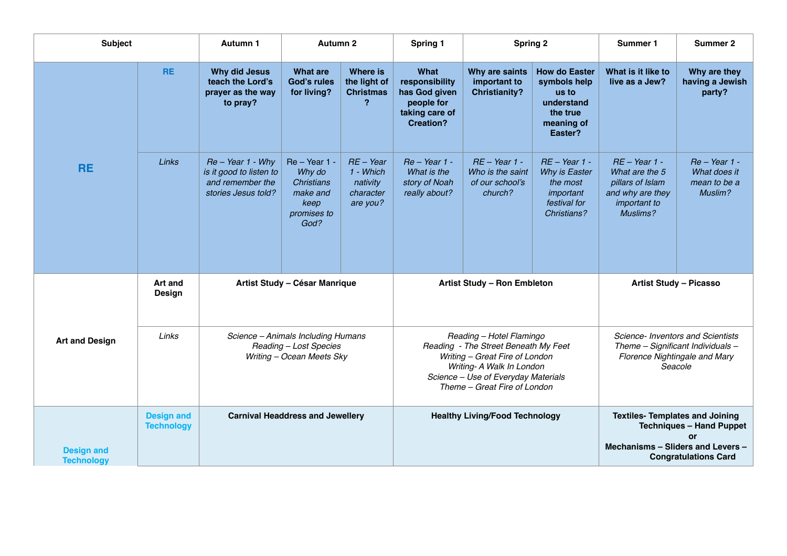| <b>Subject</b>                         |                                        | <b>Autumn 1</b>                                                                           | <b>Autumn 2</b>                                                                           |                                                               | Spring 1                                                                                                                                                                                               | <b>Spring 2</b>                                                   |                                                                                                  | Summer 1                                                                                                           | Summer 2                                                                                                                                            |
|----------------------------------------|----------------------------------------|-------------------------------------------------------------------------------------------|-------------------------------------------------------------------------------------------|---------------------------------------------------------------|--------------------------------------------------------------------------------------------------------------------------------------------------------------------------------------------------------|-------------------------------------------------------------------|--------------------------------------------------------------------------------------------------|--------------------------------------------------------------------------------------------------------------------|-----------------------------------------------------------------------------------------------------------------------------------------------------|
| <b>RE</b>                              | <b>RE</b>                              | <b>Why did Jesus</b><br>teach the Lord's<br>prayer as the way<br>to pray?                 | <b>What are</b><br><b>God's rules</b><br>for living?                                      | Where is<br>the light of<br><b>Christmas</b><br>?             | What<br>responsibility<br>has God given<br>people for<br>taking care of<br><b>Creation?</b>                                                                                                            | Why are saints<br>important to<br><b>Christianity?</b>            | <b>How do Easter</b><br>symbols help<br>us to<br>understand<br>the true<br>meaning of<br>Easter? | What is it like to<br>live as a Jew?                                                                               | Why are they<br>having a Jewish<br>party?                                                                                                           |
|                                        | Links                                  | $Re - Year 1 - Why$<br>is it good to listen to<br>and remember the<br>stories Jesus told? | $Re - Year 1 -$<br>Why do<br><b>Christians</b><br>make and<br>keep<br>promises to<br>God? | $RE - Year$<br>1 - Which<br>nativity<br>character<br>are you? | $Re - Year 1 -$<br>What is the<br>story of Noah<br>really about?                                                                                                                                       | $RE - Year 1 -$<br>Who is the saint<br>of our school's<br>church? | $RE - Year 1 -$<br>Why is Easter<br>the most<br>important<br>festival for<br>Christians?         | $RE - Year 1 -$<br>What are the 5<br>pillars of Islam<br>and why are they<br>important to<br>Muslims?              | Re - Year 1 -<br>What does it<br>mean to be a<br>Muslim?                                                                                            |
| <b>Art and Design</b>                  | <b>Art and</b><br><b>Design</b>        |                                                                                           | Artist Study - César Manrique                                                             |                                                               |                                                                                                                                                                                                        | Artist Study - Ron Embleton                                       |                                                                                                  |                                                                                                                    | <b>Artist Study - Picasso</b>                                                                                                                       |
|                                        | Links                                  | Science - Animals Including Humans<br>Reading - Lost Species<br>Writing - Ocean Meets Sky |                                                                                           |                                                               | Reading - Hotel Flamingo<br>Reading - The Street Beneath My Feet<br>Writing - Great Fire of London<br>Writing- A Walk In London<br>Science - Use of Everyday Materials<br>Theme - Great Fire of London |                                                                   |                                                                                                  | Science- Inventors and Scientists<br>Theme - Significant Individuals -<br>Florence Nightingale and Mary<br>Seacole |                                                                                                                                                     |
| <b>Design and</b><br><b>Technology</b> | <b>Design and</b><br><b>Technology</b> | <b>Carnival Headdress and Jewellery</b>                                                   |                                                                                           |                                                               |                                                                                                                                                                                                        | <b>Healthy Living/Food Technology</b>                             |                                                                                                  |                                                                                                                    | <b>Textiles- Templates and Joining</b><br><b>Techniques - Hand Puppet</b><br>or<br>Mechanisms - Sliders and Levers -<br><b>Congratulations Card</b> |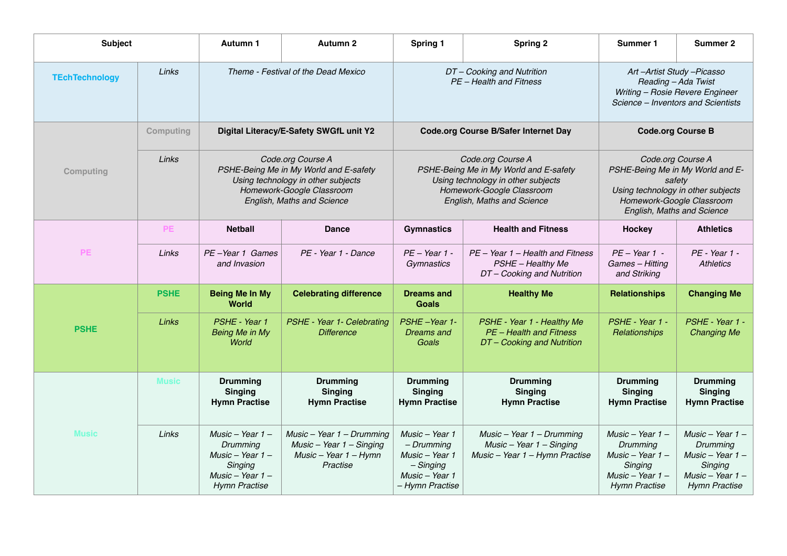| <b>Subject</b>        |              | <b>Autumn 1</b>                                                                                              | <b>Autumn 2</b>                                                                                                                                              | Spring 1                                                                                          | <b>Spring 2</b>                                                                                                                                              | Summer 1                                                                                                                                                                                     | <b>Summer 2</b>                                                                                               |
|-----------------------|--------------|--------------------------------------------------------------------------------------------------------------|--------------------------------------------------------------------------------------------------------------------------------------------------------------|---------------------------------------------------------------------------------------------------|--------------------------------------------------------------------------------------------------------------------------------------------------------------|----------------------------------------------------------------------------------------------------------------------------------------------------------------------------------------------|---------------------------------------------------------------------------------------------------------------|
| <b>TEchTechnology</b> | Links        |                                                                                                              | Theme - Festival of the Dead Mexico                                                                                                                          |                                                                                                   | DT-Cooking and Nutrition<br>PE - Health and Fitness                                                                                                          | Art-Artist Study-Picasso<br>Reading - Ada Twist<br>Writing - Rosie Revere Engineer<br>Science – Inventors and Scientists                                                                     |                                                                                                               |
|                       | Computing    |                                                                                                              | Digital Literacy/E-Safety SWGfL unit Y2                                                                                                                      |                                                                                                   | <b>Code.org Course B/Safer Internet Day</b>                                                                                                                  | <b>Code.org Course B</b><br>Code.org Course A<br>PSHE-Being Me in My World and E-<br>safety<br>Using technology in other subjects<br>Homework-Google Classroom<br>English, Maths and Science |                                                                                                               |
| Computing             | Links        |                                                                                                              | Code.org Course A<br>PSHE-Being Me in My World and E-safety<br>Using technology in other subjects<br>Homework-Google Classroom<br>English, Maths and Science |                                                                                                   | Code.org Course A<br>PSHE-Being Me in My World and E-safety<br>Using technology in other subjects<br>Homework-Google Classroom<br>English, Maths and Science |                                                                                                                                                                                              |                                                                                                               |
| <b>PE</b>             | PE           | <b>Netball</b>                                                                                               | <b>Dance</b>                                                                                                                                                 | <b>Gymnastics</b>                                                                                 | <b>Health and Fitness</b>                                                                                                                                    | Hockey                                                                                                                                                                                       | <b>Athletics</b>                                                                                              |
|                       | Links        | PE-Year 1 Games<br>and Invasion                                                                              | PE - Year 1 - Dance                                                                                                                                          | $PE - Year 1 -$<br>Gymnastics                                                                     | PE - Year 1 - Health and Fitness<br>PSHE - Healthy Me<br>DT-Cooking and Nutrition                                                                            | $PE - Year 1 -$<br>Games - Hitting<br>and Striking                                                                                                                                           | PE - Year 1 -<br><b>Athletics</b>                                                                             |
| <b>PSHE</b>           | <b>PSHE</b>  | <b>Being Me In My</b><br><b>World</b>                                                                        | <b>Celebrating difference</b>                                                                                                                                | <b>Dreams and</b><br><b>Healthy Me</b><br><b>Goals</b>                                            |                                                                                                                                                              | <b>Relationships</b>                                                                                                                                                                         | <b>Changing Me</b>                                                                                            |
|                       | Links        | PSHE - Year 1<br>Being Me in My<br>World                                                                     | PSHE - Year 1- Celebrating<br><b>Difference</b>                                                                                                              | PSHE-Year 1-<br>Dreams and<br>Goals                                                               | PSHE - Year 1 - Healthy Me<br>PE - Health and Fitness<br>DT-Cooking and Nutrition                                                                            | PSHE - Year 1 -<br>Relationships                                                                                                                                                             | PSHE - Year 1 -<br><b>Changing Me</b>                                                                         |
| <b>Music</b>          | <b>Music</b> | <b>Drumming</b><br><b>Singing</b><br><b>Hymn Practise</b>                                                    | <b>Drumming</b><br><b>Singing</b><br><b>Hymn Practise</b>                                                                                                    | <b>Drumming</b><br><b>Singing</b><br><b>Hymn Practise</b>                                         | <b>Drumming</b><br><b>Singing</b><br><b>Hymn Practise</b>                                                                                                    | <b>Drumming</b><br><b>Singing</b><br><b>Hymn Practise</b>                                                                                                                                    | <b>Drumming</b><br><b>Singing</b><br><b>Hymn Practise</b>                                                     |
|                       | Links        | Music - Year $1 -$<br>Drummina<br>Music - Year $1 -$<br>Singing<br>Music – Year $1-$<br><b>Hymn Practise</b> | $Music - Year 1 - Drumming$<br>Music - Year $1$ - Singing<br>$Music - Year 1 - Hymn$<br>Practise                                                             | Music - Year 1<br>– Drumming<br>Music - Year 1<br>$-Singing$<br>Music - Year 1<br>- Hymn Practise | $Music - Year 1 - Drumming$<br>$Music - Year 1 - Singing$<br>Music - Year 1 - Hymn Practise                                                                  | Music - Year 1 -<br>Drumming<br>Music - Year $1 -$<br>Singing<br>Music – Year $1-$<br><b>Hymn Practise</b>                                                                                   | Music - Year $1 -$<br>Drumming<br>Music - Year $1 -$<br>Singing<br>Music - Year $1 -$<br><b>Hymn Practise</b> |